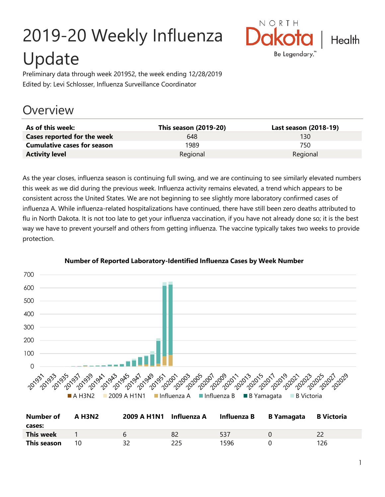# 2019-20 Weekly Influenza Update



Preliminary data through week 201952, the week ending 12/28/2019 Edited by: Levi Schlosser, Influenza Surveillance Coordinator

# **Overview**

| As of this week:                   | This season (2019-20) | Last season (2018-19) |
|------------------------------------|-----------------------|-----------------------|
| Cases reported for the week        | 648                   | 130                   |
| <b>Cumulative cases for season</b> | 1989                  | 750                   |
| <b>Activity level</b>              | Regional              | Regional              |

As the year closes, influenza season is continuing full swing, and we are continuing to see similarly elevated numbers this week as we did during the previous week. Influenza activity remains elevated, a trend which appears to be consistent across the United States. We are not beginning to see slightly more laboratory confirmed cases of influenza A. While influenza-related hospitalizations have continued, there have still been zero deaths attributed to flu in North Dakota. It is not too late to get your influenza vaccination, if you have not already done so; it is the best way we have to prevent yourself and others from getting influenza. The vaccine typically takes two weeks to provide protection.



#### **Number of Reported Laboratory-Identified Influenza Cases by Week Number**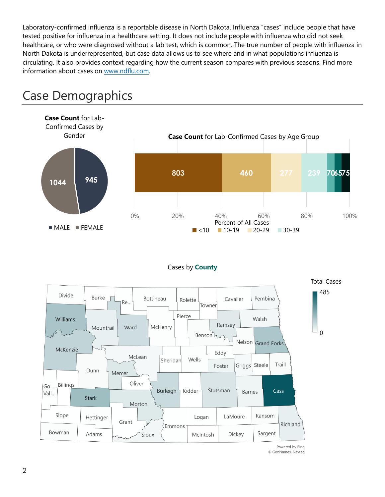Laboratory-confirmed influenza is a reportable disease in North Dakota. Influenza "cases" include people that have tested positive for influenza in a healthcare setting. It does not include people with influenza who did not seek healthcare, or who were diagnosed without a lab test, which is common. The true number of people with influenza in North Dakota is underrepresented, but case data allows us to see where and in what populations influenza is circulating. It also provides context regarding how the current season compares with previous seasons. Find more information about cases on [www.ndflu.com.](file://///nd.gov/doh/DOH-DATA/MSS/DC/PROGRAM/IMMUNE/Immunize/Influenza/Inf18-19/Surveillance/Weekly%20Summaries/www.ndflu.com)



# Case Demographics

#### Cases by **County**



© GeoNames, Navteq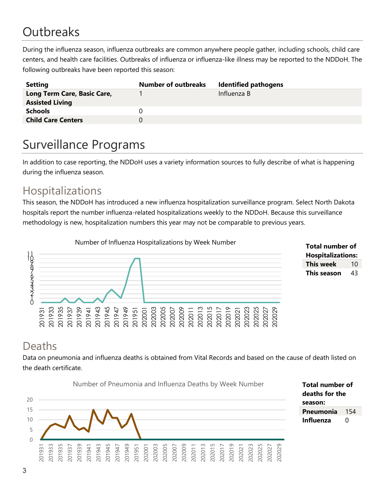# **Outbreaks**

During the influenza season, influenza outbreaks are common anywhere people gather, including schools, child care centers, and health care facilities. Outbreaks of influenza or influenza-like illness may be reported to the NDDoH. The following outbreaks have been reported this season:

| <b>Setting</b>                                        | <b>Number of outbreaks</b> | <b>Identified pathogens</b> |
|-------------------------------------------------------|----------------------------|-----------------------------|
| Long Term Care, Basic Care,<br><b>Assisted Living</b> |                            | Influenza B                 |
| <b>Schools</b>                                        |                            |                             |
| <b>Child Care Centers</b>                             |                            |                             |

# Surveillance Programs

In addition to case reporting, the NDDoH uses a variety information sources to fully describe of what is happening during the influenza season.

#### Hospitalizations

This season, the NDDoH has introduced a new influenza hospitalization surveillance program. Select North Dakota hospitals report the number influenza-related hospitalizations weekly to the NDDoH. Because this surveillance methodology is new, hospitalization numbers this year may not be comparable to previous years.





#### Deaths

Data on pneumonia and influenza deaths is obtained from Vital Records and based on the cause of death listed on the death certificate.

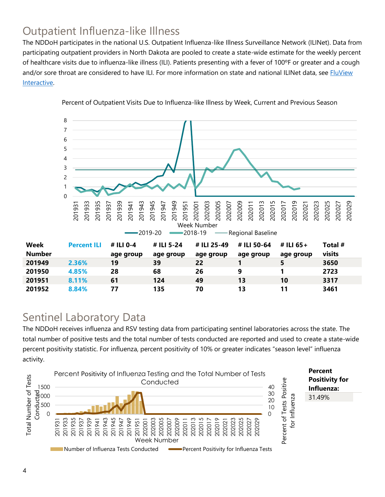## Outpatient Influenza-like Illness

The NDDoH participates in the national U.S. Outpatient Influenza-like Illness Surveillance Network (ILINet). Data from participating outpatient providers in North Dakota are pooled to create a state-wide estimate for the weekly percent of healthcare visits due to influenza-like illness (ILI). Patients presenting with a fever of 100ºF or greater and a cough and/or sore throat are considered to have ILI. For more information on state and national ILINet data, see **FluView** [Interactive.](https://gis.cdc.gov/grasp/fluview/fluportaldashboard.html)



Percent of Outpatient Visits Due to Influenza-like Illness by Week, Current and Previous Season

#### Sentinel Laboratory Data

The NDDoH receives influenza and RSV testing data from participating sentinel laboratories across the state. The total number of positive tests and the total number of tests conducted are reported and used to create a state-wide percent positivity statistic. For influenza, percent positivity of 10% or greater indicates "season level" influenza activity.

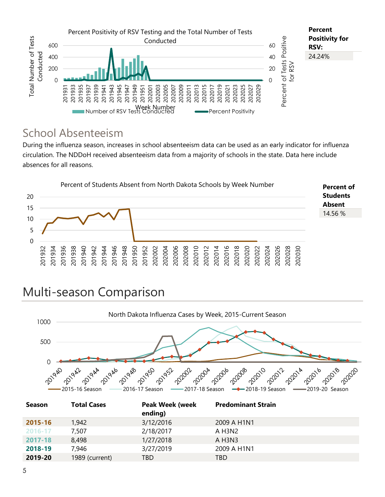

#### School Absenteeism

During the influenza season, increases in school absenteeism data can be used as an early indicator for influenza circulation. The NDDoH received absenteeism data from a majority of schools in the state. Data here include absences for all reasons.



# Multi-season Comparison